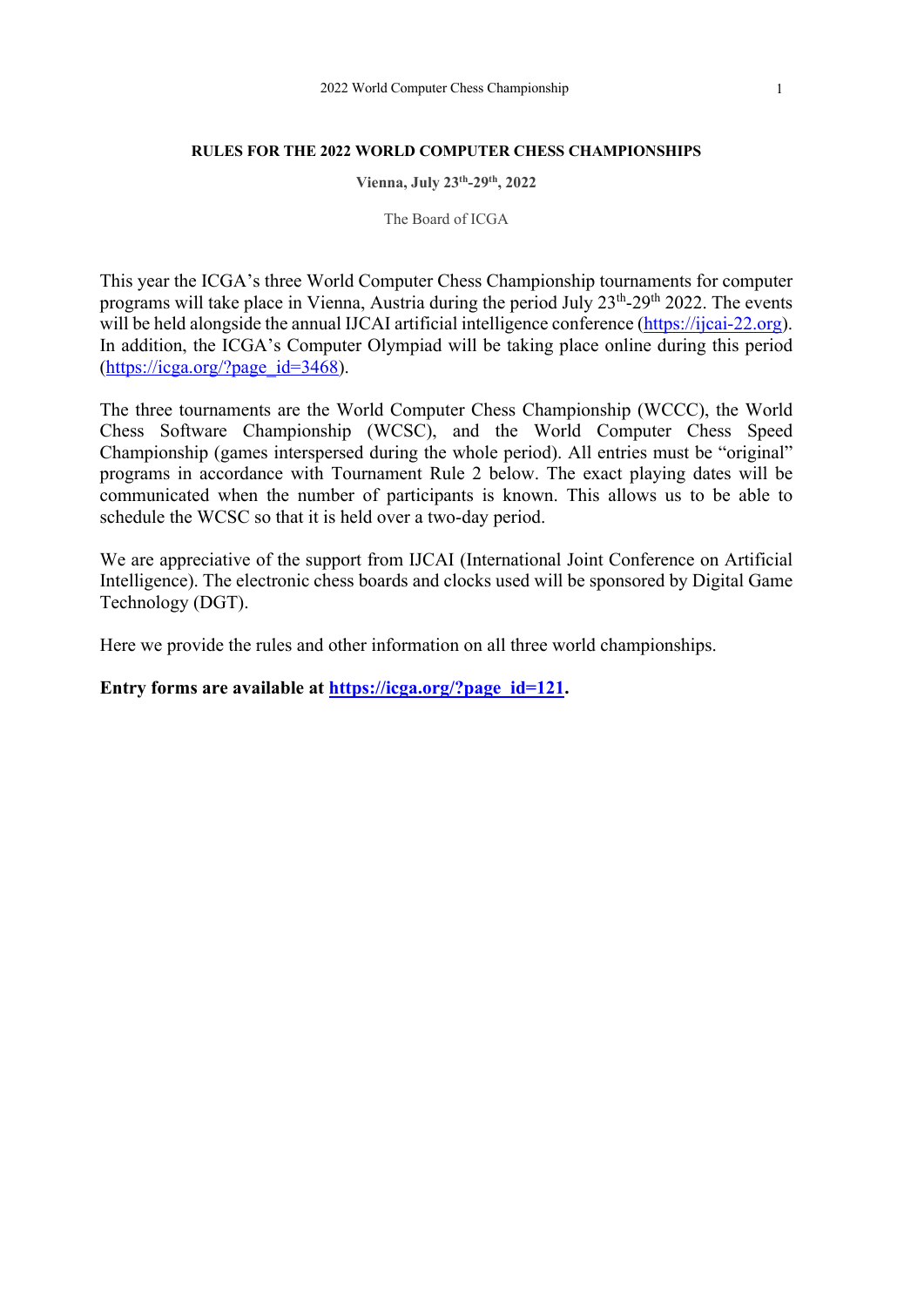#### **RULES FOR THE 2022 WORLD COMPUTER CHESS CHAMPIONSHIPS**

**Vienna, July 23th-29th, 2022**

The Board of ICGA

This year the ICGA's three World Computer Chess Championship tournaments for computer programs will take place in Vienna, Austria during the period July 23<sup>th</sup>-29<sup>th</sup> 2022. The events will be held alongside the annual IJCAI artificial intelligence conference (https://ijcai-22.org). In addition, the ICGA's Computer Olympiad will be taking place online during this period  $(\text{https://icea.org/?page_id=3468}).$ 

The three tournaments are the World Computer Chess Championship (WCCC), the World Chess Software Championship (WCSC), and the World Computer Chess Speed Championship (games interspersed during the whole period). All entries must be "original" programs in accordance with Tournament Rule 2 below. The exact playing dates will be communicated when the number of participants is known. This allows us to be able to schedule the WCSC so that it is held over a two-day period.

We are appreciative of the support from IJCAI (International Joint Conference on Artificial Intelligence). The electronic chess boards and clocks used will be sponsored by Digital Game Technology (DGT).

Here we provide the rules and other information on all three world championships.

**Entry forms are available at https://icga.org/?page\_id=121.**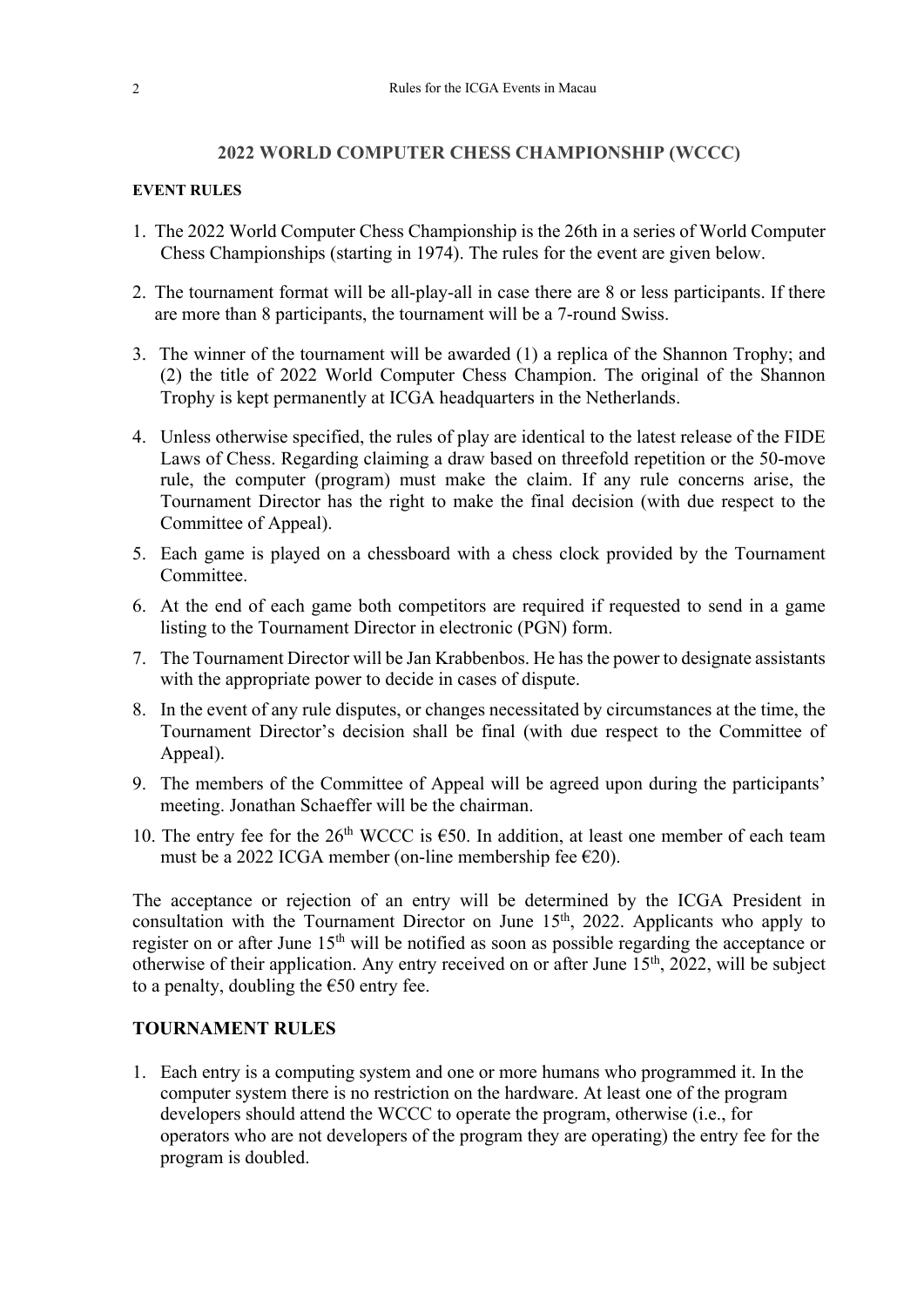#### **2022 WORLD COMPUTER CHESS CHAMPIONSHIP (WCCC)**

#### **EVENT RULES**

- 1. The 2022 World Computer Chess Championship is the 26th in a series of World Computer Chess Championships (starting in 1974). The rules for the event are given below.
- 2. The tournament format will be all-play-all in case there are 8 or less participants. If there are more than 8 participants, the tournament will be a 7-round Swiss.
- 3. The winner of the tournament will be awarded (1) a replica of the Shannon Trophy; and (2) the title of 2022 World Computer Chess Champion. The original of the Shannon Trophy is kept permanently at ICGA headquarters in the Netherlands.
- 4. Unless otherwise specified, the rules of play are identical to the latest release of the FIDE Laws of Chess. Regarding claiming a draw based on threefold repetition or the 50-move rule, the computer (program) must make the claim. If any rule concerns arise, the Tournament Director has the right to make the final decision (with due respect to the Committee of Appeal).
- 5. Each game is played on a chessboard with a chess clock provided by the Tournament Committee.
- 6. At the end of each game both competitors are required if requested to send in a game listing to the Tournament Director in electronic (PGN) form.
- 7. The Tournament Director will be Jan Krabbenbos. He has the power to designate assistants with the appropriate power to decide in cases of dispute.
- 8. In the event of any rule disputes, or changes necessitated by circumstances at the time, the Tournament Director's decision shall be final (with due respect to the Committee of Appeal).
- 9. The members of the Committee of Appeal will be agreed upon during the participants' meeting. Jonathan Schaeffer will be the chairman.
- 10. The entry fee for the 26<sup>th</sup> WCCC is  $\epsilon$ 50. In addition, at least one member of each team must be a 2022 ICGA member (on-line membership fee  $E$ 20).

The acceptance or rejection of an entry will be determined by the ICGA President in consultation with the Tournament Director on June 15<sup>th</sup>, 2022. Applicants who apply to register on or after June 15<sup>th</sup> will be notified as soon as possible regarding the acceptance or otherwise of their application. Any entry received on or after June 15<sup>th</sup>, 2022, will be subject to a penalty, doubling the  $\epsilon$ 50 entry fee.

# **TOURNAMENT RULES**

1. Each entry is a computing system and one or more humans who programmed it. In the computer system there is no restriction on the hardware. At least one of the program developers should attend the WCCC to operate the program, otherwise (i.e., for operators who are not developers of the program they are operating) the entry fee for the program is doubled.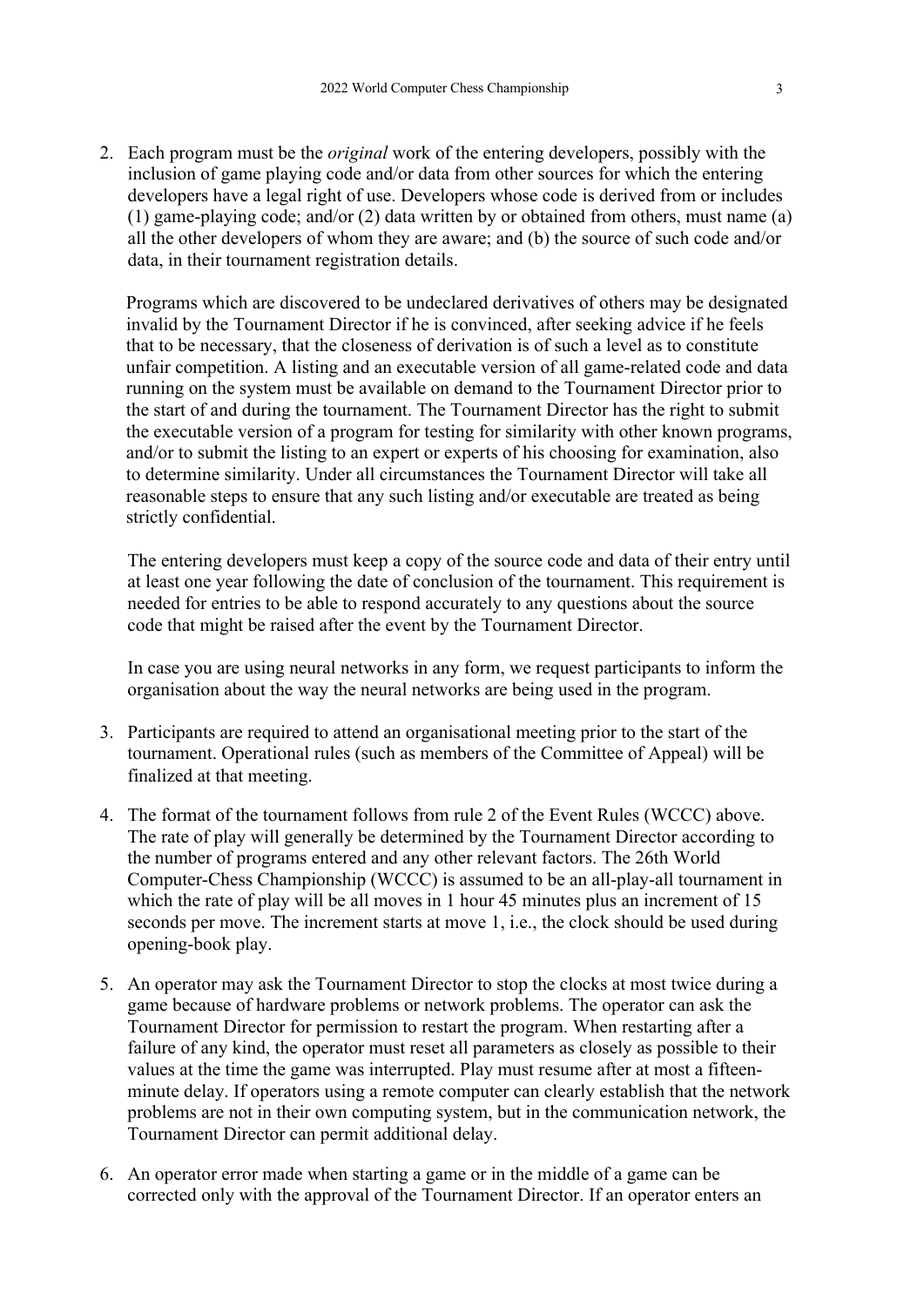2. Each program must be the *original* work of the entering developers, possibly with the inclusion of game playing code and/or data from other sources for which the entering developers have a legal right of use. Developers whose code is derived from or includes (1) game-playing code; and/or (2) data written by or obtained from others, must name (a) all the other developers of whom they are aware; and (b) the source of such code and/or data, in their tournament registration details.

Programs which are discovered to be undeclared derivatives of others may be designated invalid by the Tournament Director if he is convinced, after seeking advice if he feels that to be necessary, that the closeness of derivation is of such a level as to constitute unfair competition. A listing and an executable version of all game-related code and data running on the system must be available on demand to the Tournament Director prior to the start of and during the tournament. The Tournament Director has the right to submit the executable version of a program for testing for similarity with other known programs, and/or to submit the listing to an expert or experts of his choosing for examination, also to determine similarity. Under all circumstances the Tournament Director will take all reasonable steps to ensure that any such listing and/or executable are treated as being strictly confidential.

The entering developers must keep a copy of the source code and data of their entry until at least one year following the date of conclusion of the tournament. This requirement is needed for entries to be able to respond accurately to any questions about the source code that might be raised after the event by the Tournament Director.

In case you are using neural networks in any form, we request participants to inform the organisation about the way the neural networks are being used in the program.

- 3. Participants are required to attend an organisational meeting prior to the start of the tournament. Operational rules (such as members of the Committee of Appeal) will be finalized at that meeting.
- 4. The format of the tournament follows from rule 2 of the Event Rules (WCCC) above. The rate of play will generally be determined by the Tournament Director according to the number of programs entered and any other relevant factors. The 26th World Computer-Chess Championship (WCCC) is assumed to be an all-play-all tournament in which the rate of play will be all moves in 1 hour 45 minutes plus an increment of 15 seconds per move. The increment starts at move 1, i.e., the clock should be used during opening-book play.
- 5. An operator may ask the Tournament Director to stop the clocks at most twice during a game because of hardware problems or network problems. The operator can ask the Tournament Director for permission to restart the program. When restarting after a failure of any kind, the operator must reset all parameters as closely as possible to their values at the time the game was interrupted. Play must resume after at most a fifteenminute delay. If operators using a remote computer can clearly establish that the network problems are not in their own computing system, but in the communication network, the Tournament Director can permit additional delay.
- 6. An operator error made when starting a game or in the middle of a game can be corrected only with the approval of the Tournament Director. If an operator enters an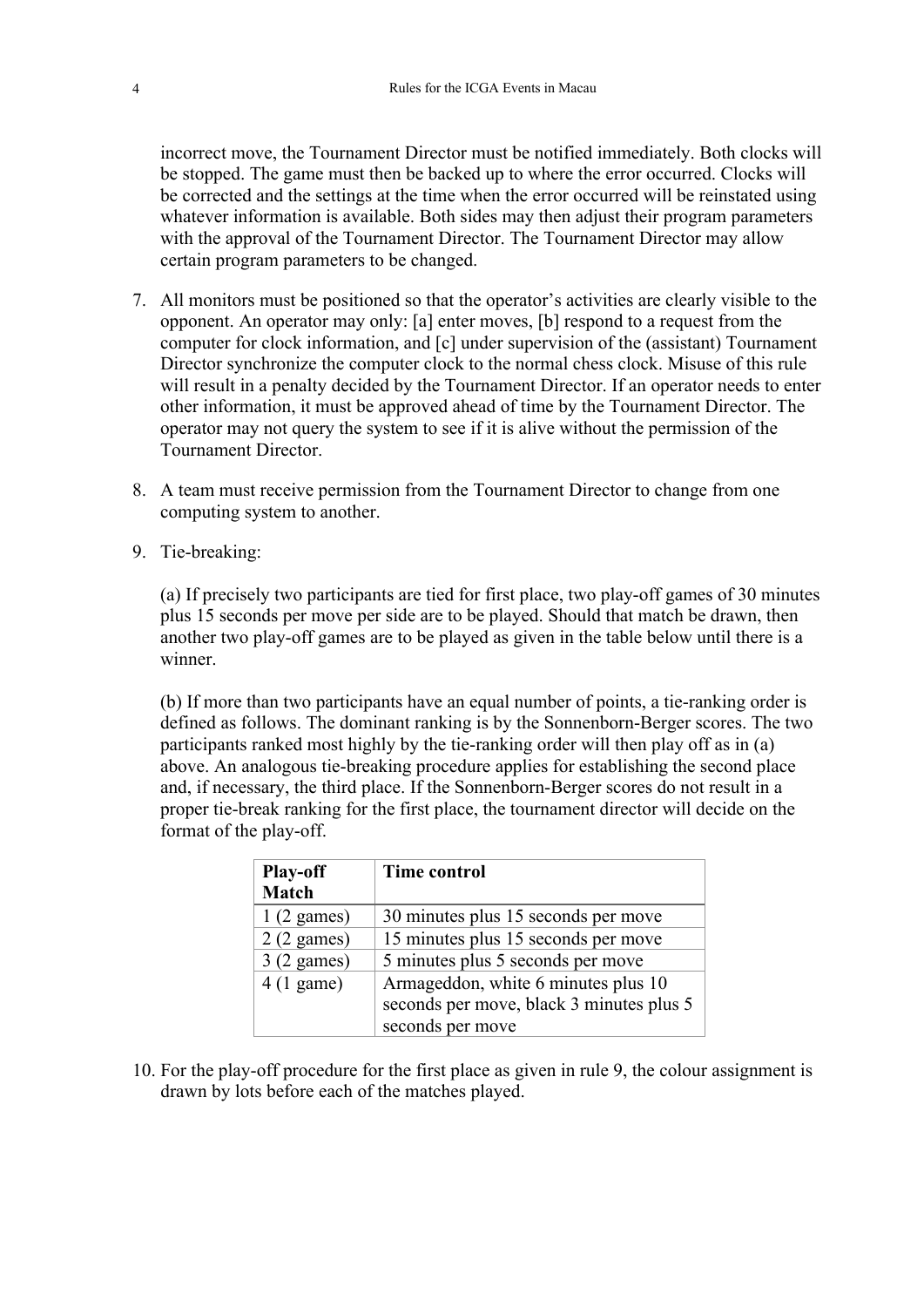incorrect move, the Tournament Director must be notified immediately. Both clocks will be stopped. The game must then be backed up to where the error occurred. Clocks will be corrected and the settings at the time when the error occurred will be reinstated using whatever information is available. Both sides may then adjust their program parameters with the approval of the Tournament Director. The Tournament Director may allow certain program parameters to be changed.

- 7. All monitors must be positioned so that the operator's activities are clearly visible to the opponent. An operator may only: [a] enter moves, [b] respond to a request from the computer for clock information, and [c] under supervision of the (assistant) Tournament Director synchronize the computer clock to the normal chess clock. Misuse of this rule will result in a penalty decided by the Tournament Director. If an operator needs to enter other information, it must be approved ahead of time by the Tournament Director. The operator may not query the system to see if it is alive without the permission of the Tournament Director.
- 8. A team must receive permission from the Tournament Director to change from one computing system to another.
- 9. Tie-breaking:

(a) If precisely two participants are tied for first place, two play-off games of 30 minutes plus 15 seconds per move per side are to be played. Should that match be drawn, then another two play-off games are to be played as given in the table below until there is a winner.

(b) If more than two participants have an equal number of points, a tie-ranking order is defined as follows. The dominant ranking is by the Sonnenborn-Berger scores. The two participants ranked most highly by the tie-ranking order will then play off as in (a) above. An analogous tie-breaking procedure applies for establishing the second place and, if necessary, the third place. If the Sonnenborn-Berger scores do not result in a proper tie-break ranking for the first place, the tournament director will decide on the format of the play-off.

| <b>Play-off</b><br><b>Match</b> | <b>Time control</b>                                                             |
|---------------------------------|---------------------------------------------------------------------------------|
| $1(2 \text{ games})$            | 30 minutes plus 15 seconds per move                                             |
| $2(2 \text{ games})$            | 15 minutes plus 15 seconds per move                                             |
| $3(2 \text{ games})$            | 5 minutes plus 5 seconds per move                                               |
| $4(1)$ game)                    | Armageddon, white 6 minutes plus 10<br>seconds per move, black 3 minutes plus 5 |
|                                 | seconds per move                                                                |

10. For the play-off procedure for the first place as given in rule 9, the colour assignment is drawn by lots before each of the matches played.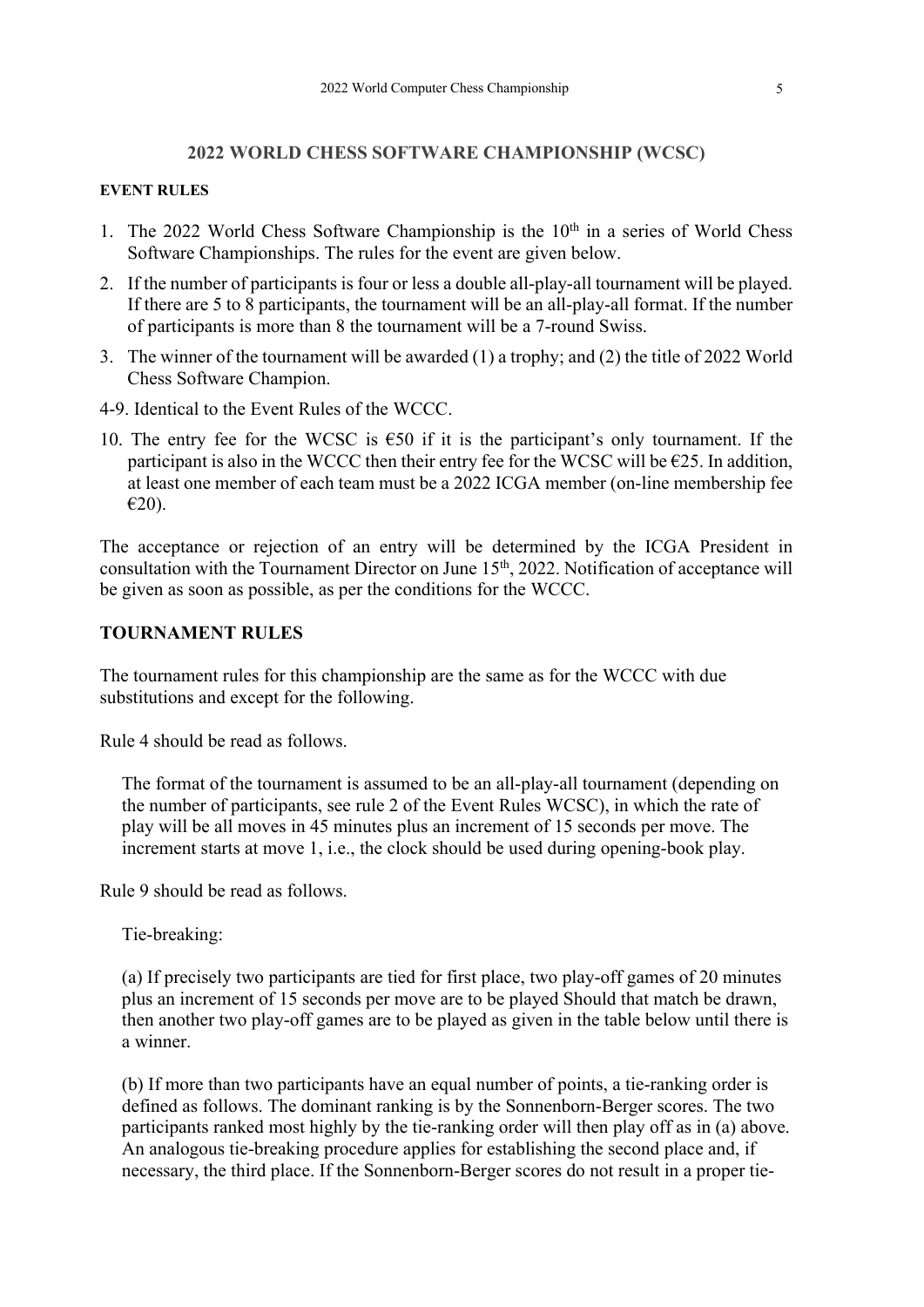#### **2022 WORLD CHESS SOFTWARE CHAMPIONSHIP (WCSC)**

#### **EVENT RULES**

- 1. The 2022 World Chess Software Championship is the  $10<sup>th</sup>$  in a series of World Chess Software Championships. The rules for the event are given below.
- 2. If the number of participants is four or less a double all-play-all tournament will be played. If there are 5 to 8 participants, the tournament will be an all-play-all format. If the number of participants is more than 8 the tournament will be a 7-round Swiss.
- 3. The winner of the tournament will be awarded (1) a trophy; and (2) the title of 2022 World Chess Software Champion.
- 4-9. Identical to the Event Rules of the WCCC.
- 10. The entry fee for the WCSC is  $\epsilon$ 50 if it is the participant's only tournament. If the participant is also in the WCCC then their entry fee for the WCSC will be  $\epsilon$ 25. In addition, at least one member of each team must be a 2022 ICGA member (on-line membership fee €20).

The acceptance or rejection of an entry will be determined by the ICGA President in consultation with the Tournament Director on June 15<sup>th</sup>, 2022. Notification of acceptance will be given as soon as possible, as per the conditions for the WCCC.

### **TOURNAMENT RULES**

The tournament rules for this championship are the same as for the WCCC with due substitutions and except for the following.

Rule 4 should be read as follows.

The format of the tournament is assumed to be an all-play-all tournament (depending on the number of participants, see rule 2 of the Event Rules WCSC), in which the rate of play will be all moves in 45 minutes plus an increment of 15 seconds per move. The increment starts at move 1, i.e., the clock should be used during opening-book play.

Rule 9 should be read as follows.

Tie-breaking:

(a) If precisely two participants are tied for first place, two play-off games of 20 minutes plus an increment of 15 seconds per move are to be played Should that match be drawn, then another two play-off games are to be played as given in the table below until there is a winner.

(b) If more than two participants have an equal number of points, a tie-ranking order is defined as follows. The dominant ranking is by the Sonnenborn-Berger scores. The two participants ranked most highly by the tie-ranking order will then play off as in (a) above. An analogous tie-breaking procedure applies for establishing the second place and, if necessary, the third place. If the Sonnenborn-Berger scores do not result in a proper tie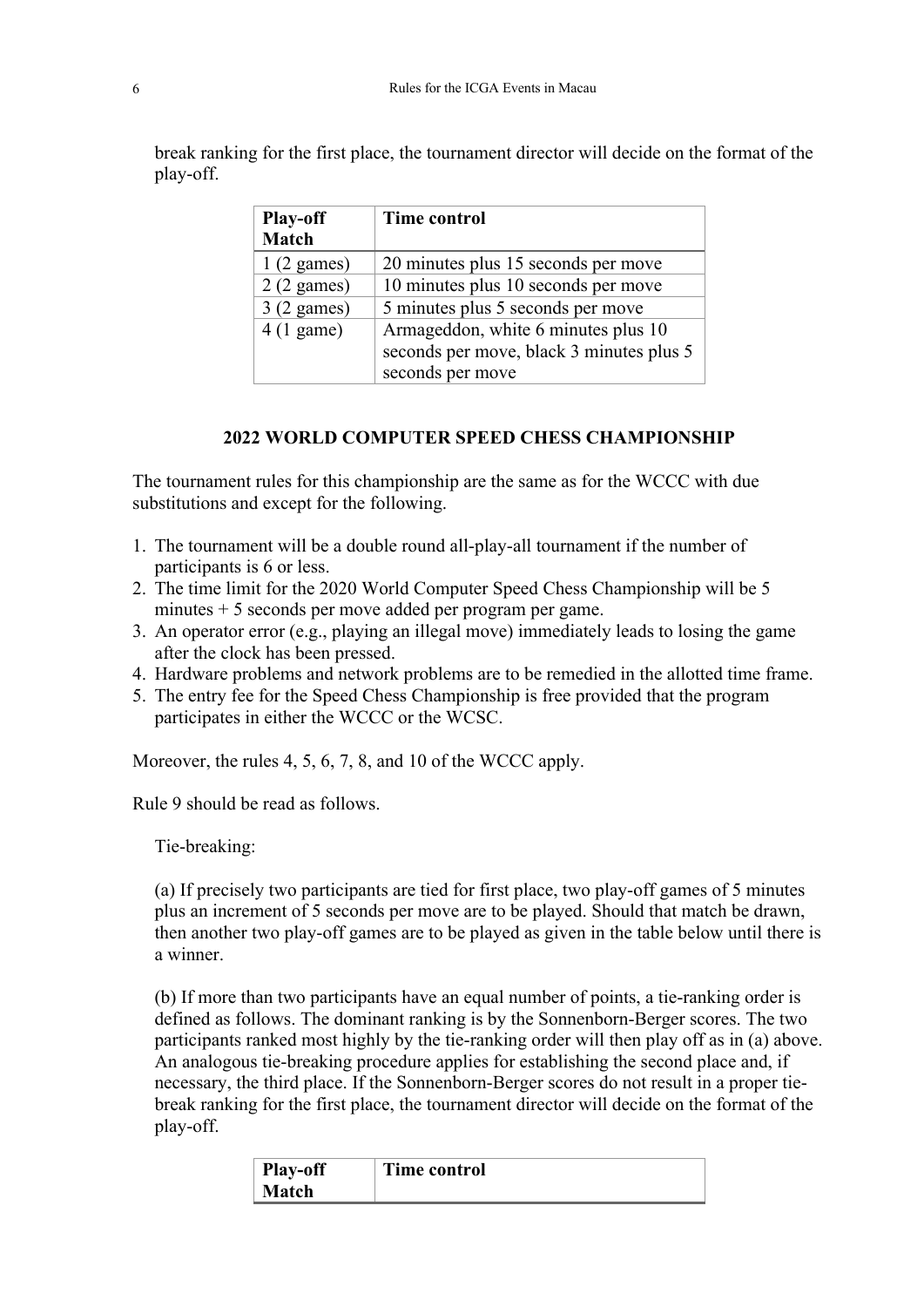break ranking for the first place, the tournament director will decide on the format of the play-off.

| <b>Play-off</b><br><b>Match</b> | <b>Time control</b>                      |
|---------------------------------|------------------------------------------|
| $1(2 \text{ games})$            | 20 minutes plus 15 seconds per move      |
| $2(2 \text{ games})$            | 10 minutes plus 10 seconds per move      |
| $3(2 \text{ games})$            | 5 minutes plus 5 seconds per move        |
| $4(1)$ game)                    | Armageddon, white 6 minutes plus 10      |
|                                 | seconds per move, black 3 minutes plus 5 |
|                                 | seconds per move                         |

## **2022 WORLD COMPUTER SPEED CHESS CHAMPIONSHIP**

The tournament rules for this championship are the same as for the WCCC with due substitutions and except for the following.

- 1. The tournament will be a double round all-play-all tournament if the number of participants is 6 or less.
- 2. The time limit for the 2020 World Computer Speed Chess Championship will be 5 minutes + 5 seconds per move added per program per game.
- 3. An operator error (e.g., playing an illegal move) immediately leads to losing the game after the clock has been pressed.
- 4. Hardware problems and network problems are to be remedied in the allotted time frame.
- 5. The entry fee for the Speed Chess Championship is free provided that the program participates in either the WCCC or the WCSC.

Moreover, the rules 4, 5, 6, 7, 8, and 10 of the WCCC apply.

Rule 9 should be read as follows.

Tie-breaking:

(a) If precisely two participants are tied for first place, two play-off games of 5 minutes plus an increment of 5 seconds per move are to be played. Should that match be drawn, then another two play-off games are to be played as given in the table below until there is a winner.

(b) If more than two participants have an equal number of points, a tie-ranking order is defined as follows. The dominant ranking is by the Sonnenborn-Berger scores. The two participants ranked most highly by the tie-ranking order will then play off as in (a) above. An analogous tie-breaking procedure applies for establishing the second place and, if necessary, the third place. If the Sonnenborn-Berger scores do not result in a proper tiebreak ranking for the first place, the tournament director will decide on the format of the play-off.

| <b>Play-off</b> | <b>Time control</b> |
|-----------------|---------------------|
| <b>Match</b>    |                     |